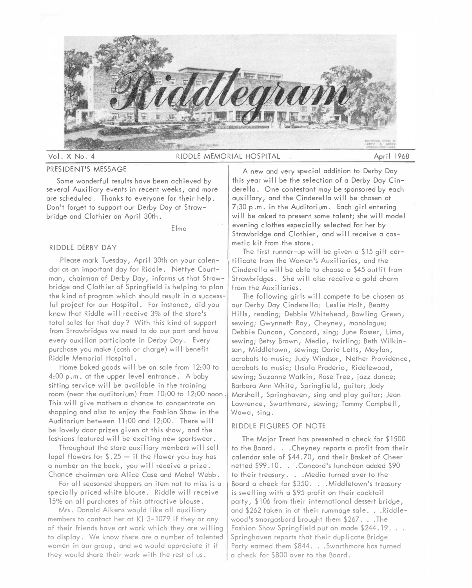

# PRESIDENT'S MESSAGE

Some wonderful results have been achieved by several Auxiliary events in recent weeks, and more are scheduled. Thanks to everyone for their help. Don't forget to support our Derby Day at Strawbridge and Clothier on April 30th.

Elma

### RIDDLE DERBY DAY

Please mark Tuesday, April 30th on your calendar as an important day for Riddle. Nettye Courtman, chairman of Derby Day, informs us that Strawbridge and Clothier of Springfield is helping to plan the kind of program which should result in a successful project for our Hospital. For instance, did you know that Riddle will receive 3% of the store's total sales for that day? With this kind of support from Strawbridges we need to do our part and have every auxilian participate in Derby Day. Every purchase you make (cash or charge) will benefit Riddle Memorial Hospital.

Home baked goods will be on sale from 12:00 to 4:00 p .m. at the upper level entrance. A baby sitting service will be available in the training room (near the auditorium) from 10:00 to 12:00 noon. This will give mothers a chance to concentrate on shopping and also to enjoy the Fashion Show in the Auditorium between 11:00 and 12:00. There will be lovely door prizes given at this show, and the fashions featured will be exciting new sportswear.

Throughout the store auxiliary members will sell lapel flowers for  $\frac{6}{3}$ .  $25 -$  if the flower you buy has a number on the back, you will receive a prize. Chance chairmen are Alice Case and Mabel Webb.

For all seasoned shoppers an item not to miss is a specially priced white blouse. Riddle will receive 15% on all purchases of this attractive blouse.

Mrs. Donald Aikens would like all auxiliary members to contact her at  $K1$  3-1079 if they or any of their friends have art work which they are willing to display. We know there are a number of talented women in our group, and we would appreciate it if they would share their work with the rest of us.

A new and very special addition to Derby Day this year will be the selection of a Derby Day Cinderella. One contestant may be sponsored by each auxiliary, and the Cinderella will be chosen at 7:30 p.m. in the Auditorium. Each girl entering will be asked to present some talent; she will model evening clothes especially selected for her by Strawbridge and Clothier, and will receive a cosmetic kit from the store.

The first runner-up will be given a \$15 gift certificate from the Women's Auxiliaries, and the Cinderella will be able to choose a \$45 outfit from Strawbridges. She will also receive a gold charm from the Auxiliaries.

The following girls will compete to be chosen as our Derby Day Cinderella: Leslie Holt, Beatty Hills, reading; Debbie Whitehead, Bowling Green, sewing; Gwynneth Ray, Cheyney, monologue; Debbie Duncan, Concord, sing; June Rosser, Lima, sewing; Betsy Brown, Media, twirling; Beth Wilkinson, Middletown, sewing; Dorie Letts, Moylan, acrobats to music; Judy Windsor, Nether Providence, acrobats to music; Ursula Praderio, Riddlewood, sewing; Suzanne Watkin, Rose Tree, jazz dance; Barbara Ann White, Springfield, guitar; Jody Marshall, Springhaven, sing and play guitar; Jean Lawrence, Swarthmore, sewing; Tammy Campbell, Wawa, sing.

# RIDDLE FIGURES OF NOTE

The Major Treat has presented a check for \$1500 to the Board. . .Cheyney reports a profit from their calendar sale of \$44.70, and their Basket of Cheer netted \$99.10. . . Concord's luncheon added \$90 to their treasury ... Media turned over to the Board a check for \$350. . . Middletown's treasury is swelling with a 595 profit on their cocktail party, \$106 from their international dessert bridge, and \$262 taken in at their rummage sale. . . Riddlewood's smorgasbord brought them \$267. . . The Fashion Show Springfield put on made \$244.19... Springhaven reports that their duplicate Bridge Party earned them \$844. . . Swarthmore has turned a check for \$800 over to the Board .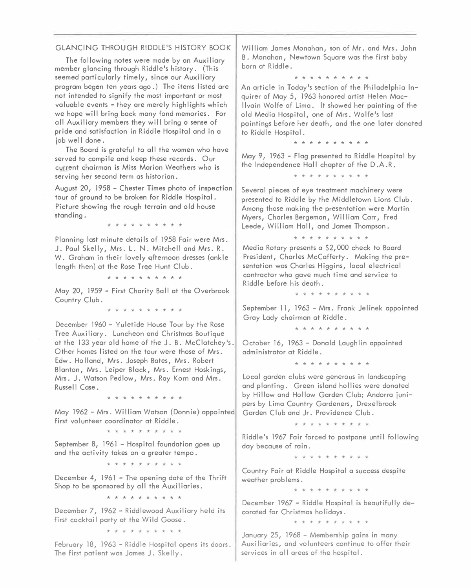# GLANCING THROUGH RIDDLE'S HISTORY BOOK

The following notes were made by an Auxiliary member glancing through Riddle's history. (This seemed particularly timely, since our Auxiliary program began ten years ago.) The items listed are not intended to signify the most important or most valuable events - they are merely highlights which we hope will bring back many fond memories. For all Auxiliary members they will bring a sense of pride and satisfaction in Riddle Hospital and in a job well done.

The Board is grateful to all the women who have served to compile and keep these records. Our current chairman **is Miss** Marion Weathers who **is**  serving her second term as historian.

August 20, l 958 - Chester Times photo of inspection tour of ground to be broken for Riddle Hospital. Picture showing the rough terrain and old house standing.

\* \* \* \* \* \* \* \* \* \*

Planning last minute details of 1958 Fair were Mrs. J. Paul Skelly, Mrs. L. N. Mitchell and Mrs. R. W. Graham in their lovely qfternoon dresses (ankle length then) at the Rose Tree Hunt Club.

\* \* \* \* \* \* \* \* \* \*

May 20, 1959 - First Charity Ball at the Overbrook Country Club.

\* \* \* \* \* \* \* \* \* \*

December 1960 - Yuletide House Tour by the Rose Tree Auxiliary. Luncheon and Christmas Boutique at the 133 year old home of the J. B. McClatchey's. Other homes listed on the tour were those of Mrs. Edw. Holland, Mrs. Joseph Bates, Mrs. Robert Blanton, **Mrs.** Leiper Black, Mrs. Ernest Hoskings, Mrs. J. Watson Pedlow, Mrs. Ray Korn and Mrs. Russell Case.

\* \* \* \* \* \* \* \* \* \*

May 1962 - Mrs. William Watson (Donnie) appointed first volunteer coordinator at Riddle.

\* \* \* \* \* \* \* \* \*

September 8, 1961 - Hospital foundation goes up and the activity takes on a greater tempo.

\* \* \* \* \* \* \* \* \*

December 4, 1961 - The opening date of the Thrift Shop to be sponsored by all the Auxiliaries.

\* \* \* \* \* \* \* \* \* \*

December 7, 1962 - Riddlewood Auxiliary held its first cocktail party at the Wild Goose.

\* \* \* \* \* \* \* \* \* \*

February 18, 1963 - Riddle Hospital opens its doors. The first patient was James J. Skelly.

William James Monahan, son of Mr. and Mrs. John B. Monahan, Newtown Square was the first baby born at Riddle.

\* \* \* \* \* \* \* \* \* \*

An article in Today's section of the Philadelphia Inquirer of May 5, 1963 honored artist Helen Macllvain Wolfe of Lima. It showed her painting of the old Media Hospital, one of Mrs. Wolfe's last paintings before her death, and the one later donated to Riddle Hospital.

\* \* \* \* \* \* \* \* \* \*

May 9, 1963 - Flag presented to Riddle Hospital by the Independence Hall chapter of the D .A. R.

\* \* \* \* \* \* \* \* \* \*

Several pieces of eye treatment machinery were presented to Riddle by the Middletown Lions Club. Among those making the presentation were Martin Myers, Charles Bergeman, William Carr, Fred Leede, William Hall, and James Thompson.

\* \* \* \* \* \* \* \* \* \*

Media Rotary presents a \$2,000 check to Board President, Charles McCafferty. Making the presentation was Charles Higgins, local electrical contractor who gave much time and service to Riddle before his death.

\* \* \* \* \* \* \* \* \* \*

September 11, 1963 - Mrs. Frank Jelinek appointed Gray Lady chairman at Riddle.

\* \* \* \* \* \* \* \* \* \*

October 16, 1963 - Donald Laughlin appointed administrator at Riddle.

\* \* \* \* \* \* \* \* \* \*

Local garden clubs were generous in landscaping and planting. Green island hollies were donated by Hillow and Hollow Garden Club; Andorra junipers by Lima Country Gardeners, Drexelbrook Garden Club and Jr. Providence Club.

\* \* \* \* \* \* \* \* \* \*

Riddle's 1967 Fair forced to postpone until following day because of rain.

\* \* \* \* \* \* \* \* \* \*

Country Fair at Riddle Hospital a success despite weather problems.

\* \* \* \* \* \* \* \* \* \*

December 1967 - Riddle Hospital is beautifully decorated for Christmas holidays.

\* \* \* \* \* \* \* \* \* \*

January 25, 1968 - Membership gains in many Auxiliaries, and volunteers continue to offer their services in all areas of the hospital.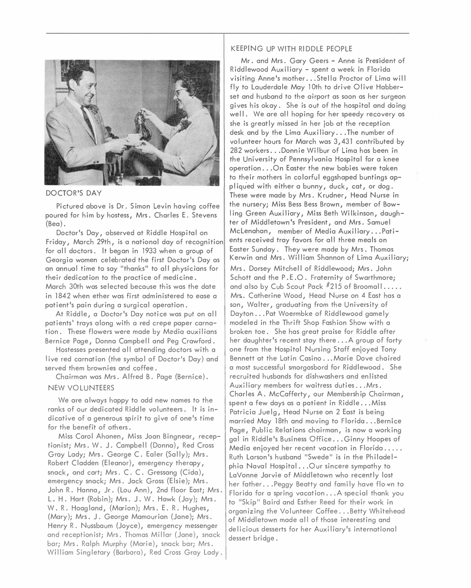

### *D*OCTOR'S *D*AY

P*i*cture*d ab*ove *i*s *D*r. S*i*mon Lev*i*n *ha*v*i*ng coffee poure*d* for *hi*m *b*y *h*ostess, Mrs. C*ha*rles E. Stevens (Be*a*).

*D*octor's *Da*y, o*b*serve*d a*t R*idd*le Hosp*i*t*a*l on Fr*ida*y, M*a*rc*h* 2*9*t*h*, *i*s *a* n*a*t*i*on*a*l *da*y of recogn*i*t*i*on for *a*ll *d*octors. It *b*eg*a*n *i*n 1933 w*h*en *a* group of Georg*ia* women cele*b*r*a*te*d* t*h*e f*i*rst *D*octor's *Da*y *a*s *a*n *a*nnu*a*l t*i*me to s*a*y "t*ha*nks" to *a*ll p*h*ys*i*c*ia*ns for t*h*e*i*r *d*e*di*c*a*t*i*on to t*h*e pr*a*ct*i*ce of me*di*c*i*ne. M*a*rc*h* 30t*h* w*a*s selecte*d b*ec*a*use t*hi*s w*a*s t*h*e *da*te *i*n 1842 w*h*en et*h*er w*a*s f*i*rst *ad*m*i*n*i*stere*d* to e*a*se *a*  p*a*t*i*ent's p*ai*n *d*ur*i*ng *a* surg*i*c*a*l oper*a*t*i*on.

At R*idd*le, *a D*octor's *Da*y not*i*ce w*a*s put on *a*ll p*a*t*i*ents' tr*a*ys *a*long w*i*t*h a* re*d* crepe p*a*per c*a*rn*a*t*i*on. T*h*ese flowers were m*ad*e *b*y Me*dia a*ux*i*l*ia*ns Bern*i*ce P*a*ge, *D*onn*a* C*a*mp*b*ell *a*n*d* Peg Cr*a*wfor*d*.

Hostesses presente*d a*ll *a*tten*di*ng *d*octors w*i*t*h a*  l*i*ve re*d* c*a*rn*a*t*i*on (t*h*e sym*b*ol of *D*octor's *Da*y) *a*n*d*  serve*d* t*h*em *b*rown*i*es *a*n*d* coffee.

C*hai*rm*a*n w*a*s Mrs. Alfre*d* B. P*a*ge (Bern*i*ce).

## NEW VOLUNTEERS

We *a*re *a*lw*a*ys *ha*ppy to *add* new n*a*mes to t*h*e r*a*nks of our *d*e*di*c*a*te*d* R*idd*le volunteers. It *i*s *i*n*di*c*a*t*i*ve of *a* generous sp*i*r*i*t to g*i*ve of one's t*i*me *f*or t*h*e *b*enef*i*t of ot*h*ers.

M*i*ss C*a*rol A*h*onen, M*i*ss Jo*a*n B*i*ngne*a*r, recept*i*on*i*st; Mrs. W. J. C*a*mp*b*ell (*D*onn*a*), Re*d* Cross Gray Lady; Mrs. George C. Ealer (Sally); Mrs. Ro*b*ert Cl*add*en (Ele*a*nor), emergency t*h*er*a*py, sn*a*ck, *a*n*d* c*a*rt; Mrs. C. C. Gress*a*ng (C*ida*), emergency sn*a*ck; Mrs. J*a*ck Gross (Els*i*e); Mrs. Jo*h*n R. H*a*nn*a*, Jr. (Lou Ann), 2n*d* floor E*a*st; Mrs. L. H. H*a*rt {Ro*bi*n); Mrs. J. W. H*a*wk (Joy); Mrs. W. R. Ho*a*gl*a*n*d*, (M*a*r*i*on); Mrs. E. R. Hug*h*es, (M*a*ry); Mrs. J. George M*a*mour*ia*n (J*a*ne); Mrs. Henry R. Nuss*ba*um (Joyce), emergency messenger *a*n*d* recept*i*on*i*st; Mrs. T*h*om*a*s M*i*ll*a*r (J*a*ne), sn*a*ck *ba*r; Mrs. R*a*lp*h* Murp*h*y (M*a*r*i*e), sn*a*ck *ba*r; Mrs. Will*ia*m S*i*nglet*a*ry (B*a*r*ba*r*a*), Re*d* Cross Gr*a*y L*ad*y.

### KEEPrNG UP WITH RI*DD*LE PEOPLE

Mr. *a*n*d* Mrs. G*a*ry Geers - Anne *i*s Pre:s'i*d*ent of R*idd*lewoo*d* Aux*i*l*ia*ry - spent *a* week *i*n Flor*ida*  v*i*s*i*t*i*ng Anne's mot*h*er ... Stell*a* Proctor of L*i*m*a* w*i*ll fly to L*a*u*d*er*da*le M*a*y 10t*h* to *d*r*i*ve Ol*i*ve H*abb*erset *a*n*d* hus*ba*n*d* to t*h*e *ai*rport *a*s soon *a*s *h*er surgeon g*i*ves *hi*s ok*a*y. S*h*e *i*s out of t*h*e *h*osp*i*t*a*l *a*n*d d*o*i*ng wel I. We *a*re *a*l I *h*op*i*ng for *h*er spee*d*y recovery *a*s s*h*e *i*s gre*a*tly m*i*sse*d i*n *h*er jo*b a*t t*h*e recept*i*on *d*esk *a*n*d b*y t*h*e L*i*m*a* Aux*i*l*ia*ry ... T*h*e num*b*er of volunteer *h*ours for M*a*rc*h* w*a*s 3,431 contr*ib*ute*d b*y 282 workers ... *D*onn*i*e W*i* I *b*ur of L*i*m*a ha*s *b*een *i*n t*h*e Un*i*vers*i*ty of Pennsylv*a*n*ia* Hosp*i*t*a*l for *a* knee oper*a*t*i*on ... On E*a*ster t*h*e new *babi*es were t*a*ken to t*h*e*i*r mot*h*ers *i*n colorful eggs*ha*pe*d b*unt*i*ngs *a*ppl *iq*u.e*d* w*i*t*h* e*i*t*h*er *a b*unny, *d*uck, c*a*t, or *d*og. T*h*ese were m*ad*e *b*y Mrs. Kru*d*ner, He*ad* Nurse *i*n t*h*e nursery; M*i*ss Bess Bess Brown, mem*b*er of Bow-*1 i*ng Green Aux*i*l*ia*ry, *M***i***ss* Bet*h* W*i*lk*i*nson, *da*ug*h*ter of M*idd*letown's Pres*id*ent, *a*n*d M***r***s***.** S*a*muel McLen*aha*n, mem*b*er of Me*dia* Aux*i*l*ia*ry . .. P*a*t*i*ents rece*i*ve*d* tr*a*y f*a*vors *f*or *a*ll t*h*ree me*a*ls on E*a*ster Sun*da*y. T*h*ey were m*ad*� *b*y Mrs. T*h*om*a*s Kerw*i*n *a*n*d* Mrs. W*i*ll*ia*m S*ha*nnon of L*i*m*a* Aux*i*l*ia*ry; Mrs. *D*orsey M*i*tc*h*el I of R*idd*lewoo*d*; Mrs. Jo*h*n Sc*h*ott *a*n*d* t*h*e P. E .0. Fr*a*tern*i*ty of Sw*a*rt*h*more; *a*n*d a*lso *b*y Cu*b* Scout P*a*ck #2]5 of Broom*a*ll . .... Mrs.. C*a*t*h*er*i*ne Woo*d*, He*ad* Nurse on 4 E*a*st *ha*s *a*  son, W*a*lter, gr*ad*u*a*t*i*ng from t*h*e Un*i*vers*i*ty of *Da*yton .. . P*a*t Woerm*b*ke of R*idd*lewoo*d* g*a*mely mo*d*ele*d i*n t*h*e T*h*r*i*ft S*h*op F*a*s*h i*on S*h*ow w*i*t*h a b*roken toe. S*h*e *ha*s gre*a*t pr*ai*se *f*or R*idd*le *a*fter *h*er *da*ug*h*ter's recent st*a*y t*h*ere ... A group of *f*orty one from t*h*e Hosp*i*t*a*l Nurs*i*ng St*a*ff enjoye*d* Tony Bennett *a*t t*h*e L*a*t*i*n C*a*s*i*no ... M*a*r*i*e *D*ove c*hai*re*d a* most successful smorg*a*s*b*or*d f*or R*idd*lewoo*d*. S*h*e recru*i*te*d h*us*ba*n*d*s *f*or *di*s*h*w*a*s*h*ers *a*n*d* en I *i*ste*d*  Auxil*ia*ry mem*b*ers *f*or w*ai*tress *d*ut*i*es ... Mrs. C*ha*rles A. Mc C*a*fferty, our Mem*b*ers*hi*p C*hai*rm*a*n, spent *a* few *da*ys *a*s *a* p*a*t*i*ent *i*n R*idd*le . •. *M***i***ss*  P*a*tr*i*c*ia* Juelg, He*ad* Nurse on 2 E*a*st *i*s *b*e*i*ng m*a*rr*i*e*d* M*a*y 18t*h a*n*d* mov*i*ng to Flor*ida* ... Bernice P*a*ge, Pu*b*l*i*c Rel*a*t*i*ons c*hai*rm*a*n, *i*s now *a* work*i*ng g*a*l *i*n R*idd*le's Bus*i*ness Off*i*ce ... G*i*nny Hoopes of Me*dia* enjoye*d h*er recent v*a*c*a*t*i*on *i*n Flor*ida* . .... Rut*h* L*a*rson's *h*us*ba*n*d* "Swe*d*e" *i*s *i*n t*h*e P*hi*l*ad*elp*hia* N*a*v*a*l Hosp*i*t*a*l ... Our s*i*ncere symp*a*t*h*y to L*a*Vonne J*a*rv*i*e of M*idd*letown w*h*o recently lost *h*er f*a*t*h*er ... Peggy Be*a*tty *a*n*d* f*a*m*i*ly *ha*ve flo,vn to Flor*ida f*or *a* spr*i*ng v*a*c*a*t*i*on ... A spec*ia*l t*ha*nk you to "Sk*i*p" B*ai*r*d a*n*d* Est*h*er Ree*d* for t*h*e*i*r work *i*n org*a*n*i*z*i*ng t*h*e Volunteer Coffee ... Betty W*hi*te*h*e*ad*  of M*idd*letown m*ad*e *a*ll of t*h*ose *i*nterest*i*ng *a*n*d d*el*i*c*i*ous *d*esserts *f*or *h*er Aux*i*l*ia*ry's *i*ntern*a*t*i*on*a*l *d*essert *b*r*id*ge.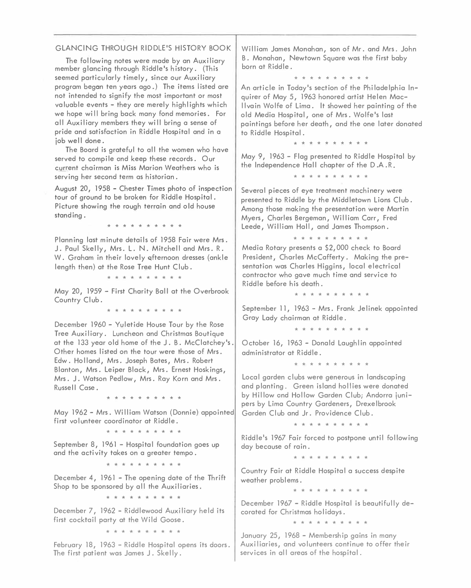## GLANCING THROUGH RIDDLE'S HISTORY BOO*K*

T**h***e* fo*ll*o**w**i*n*g *n*o**t***es* **w***e*r*e* mad*e* by a*n* Auxi*l*iary m*e*mb*e*r g*l*a*n*ci*n*g **t**hrough Ridd*le*'*s* hi*s***t**ory. (Thi*s see*m*e*d par**t**icu*l*ar*l*y **t**im*el*y, *s*i*n*c*e* our Auxi*l*iary program b*e*ga*n* **t***en* y*e*ar*s* ago. ) T**h***e* i**t***e*m*s* I i*s***t***e*d ar*e n*o**t** i*n***t***en*d*e*d **t**o *s*ignify **th***e* mo*s***t** impor**t**a*n***t** or mo*s***t**  *v*a*l*uab*le even***t***s* - **th***e*y ar*e* m*e*r*el*y **h**igh*l*ig**ht***s* **w**hich **w***e* **h**op*e* **w**i 11 bri*n*g back ma*n*y fo*n*d m*e*mori*es*. For a*ll* Auxi*l*iary m*e*mb*e*r*s* **t**h*e*y **w**i*ll* bri*n*g a *sense* of prid*e* a*n*d *s*a**t**i*s*fac**t**io*n* i*n* Ridd*le* Ho*s*pi**t**a*l* a*n*d i*n* a job **w***ell* do*ne*.

T**h***e* Board i*s* gra**t***e*fu*l* **t**o a*ll* **th***e* **w**om*en* **wh**o **h**a*ve se*r*ve*d **t**o compi*le* a*n*d k*ee*p **t**h*ese* r*e*cord*s*. Our curr*en***t** c**h**airma*n* **is Miss** Mario*n* W*e*a**th***e*r*s* **wh**o **is**  *se*r*v*i*n*g h*e*r *se*co*n*d **t***e*rm a*s* **h**i*s***t**oria*n*.

Augu*s***t** 20, 1958 - C**h***es***t***e*r Tim*es* pho**t**o of i*ns*p*e*c**t**io*n*  **t**our of grou*n*d **t**o b*e* brok*en* for Ridd*le* Ho*s*pi**t**a*l*. Pic**t**ur*e s*ho**w**i*n*g **th***e* roug**h t***e*rrai*n* a*n*d o Id hou*se s***t**a*n*di*n*g.

\* \* \* \* \* \* \* \* \*

P*l*a*nn*i*n*g *l*a*s***t** mi*n*u**t***e* d*e***t**ai*ls* of 1958 Fair **w***e*r*e* Mr*s*. J. Pau*l* Sk*ell*y, Mr*s*. L. N. Mi**t**ch*ell* a*n*d Mr*s*. R. W. Gra**h**am i*n* **th***e*ir *l*o*vel*y qf**t***e*r*n*oo*n* dr*esses* (a*n*k*le len*g**th th***en*) a**t th***e* Ro*se* Tr*ee* Hu*n***t** C*l*ub.

\* \* \* \* \* \* \* \* \* \*

May 20, 1959 - Fir*s***t** Chari**t**y Ba*l* I a**t t**h*e* O*ve*rbrook Cou*n***t**ry C*l*ub.

\* \* \* \* \* \* \* \* \* \*

D*e*c*e*mb*e*r 1960 - Yu*le***t**id*e* Hou*se* Tour by **th***e* Ro*se*  Tr*ee* Auxi*l*iary. Lu*n*c**h***e*o*n* a*n*d C**h**ri*s***t**ma*s* Bou**t**iqu*e*  a**t t**h*e* 133 y*e*ar o*l*d **h**om*e* of **th***e* J. B. McC*l*a**t**c**h***e*y'*s*. O**th***e*r hom*es* I i*s***t***e*d o*n* **t**h*e* **t**our **w***e*r*e* **th**o*se* of Mr*s*. Ed**w**. Ho I *l*a*n*d, Mr*s*. Jo*se*p**h** Ba**t***es*, Mr*s*. Rob*e*r**t**  B*l*a*n***t**o*n*, Mr*s*. L*e*ip*e*r B*l*ack, Mr*s*. Er*nes***t** Ho*s*ki*n*g*s*, Mr*s*. J. Wa**t***s*o*n* P*e*d*l*o**w**, Mr*s*. Ray Kor*n* a*n*d Mr*s*. Ru*sse* 11 Ca*se* •

\* \* \* \* \* \* \* \* \* \*

May 1962 - Mr*s*. Wi*ll*iam Wa**t***s*o*n* (Do*nn*i*e*) appoi*n***t***e*d fir*s***t** *v*o*l*u*n***t***ee*r coordi*n*a**t**or a**t** Ridd*le*.

\* \* \* \* \* \* \* \* \* \*

S*e*p**t***e*mb*e*r 8, 1%1 - Ho*s*pi**t**a*l* fou*n*da**t**io*n* go*es* up a*n*d **t**h*e* ac**t**i*v*i**t**y **t**ak*es* o*n* a gr*e*a**t***e*r **t***e*mpo.

\* \* \* \* \* \* \* \* \* \*

D*e*c*e*mb*e*r 4, 1961 - T**h***e* op*en*i*n*g da**t***e* of **th***e* T**h**rif**t**  Shop **t**o b*e s*po*ns*or*e*d by a*ll* **t**h*e* Auxi*l*iari*es*.

\* \* \* \* \* \* \* \* \* \*

D*e*c*e*mb*e*r 7, 1962 - Ridd*le***w**ood Auxi*l*iary **h***el*d i**t***s*  fir*s***t** cocktai*l* par**t**y a**t th***e* Wi*l*d Goo*se*.

\* \* \* \* \* \* \* \* \* \*

F*e*bruary 18, 1963 - Ridd*le* Ho*s*pi**t**a*l* op*ens* i**t***s* door*s*. T**h***e* fir*s***t** pa**t**i*en***t w**a*s* Jam*es* J. Sk*ell*y.

Wi*ll*iam Jam*es* Mo*n*a**h**a*n*, *s*o*n* of Mr. a*n*d Mr*s*. Jo**h***n*  B. Mo*n*a**h**an, N*e***wt**o**w***n* Squar*e* **w**a*s* **t**h*e* fir*s***t** baby bor*n* a**t** Ridd*le*.

\* \* \* \* \* \* \* \* \* \*

A*n* ar**t**ic*le* i*n* Today'*s se*c**t**io*n* of **t**h*e* P**h**i*l*ad*el*phia I*n*quir*e*r of May 5, 1963 **h**o*n*or*e*d ar**t**i*s***t** H*elen* Mac*llv*ai*n* Wo*l*f*e* of Lima. I**t** *s*ho**w***e*d **h***e*r pai*n***t**i*n*g of **t**h*e*  o*l*d M*e*dia Ho*s*pi**t**a*l*, o*ne* of Mr*s*. Wo*l*f*e*'*s l*a*s***t**  pai*n***t**i*n*g*s* b*e*for*e* h*e*r d*e*a**th**, a*n*d **th***e* o*ne l*a**t***e*r do*n*a**t***e*d **t**o Ridd*le* Ho*s*pi**t**a*l*.

\* \* \* \* \* \* \* \* \* \*

May 9, 1963 - F*l*ag pr*esen***t***e*d **t**o Ridd*le* Ho*s*pi**t**a*l* by **th***e* I*n*d*e*p*en*d*en*c*e* Ha*l* I chap**t***e*r of **th***e* D .A . R.

\* \* \* \* \* \* \* \* \* \*

S*eve*ra*l* pi*e*c*es* of *e*y*e* **t**r*e*a**t**m*en***t** machi*ne*ry **w***e*r*e*  pr*esen***t***e*d **t**o Ridd*le* by **t**h*e* Midd*le***t**o**w***n* Lio*ns* C*l*ub. Amo*n*g **th**o*se* maki*n*g **th***e* pr*esen***t**a**t**io*n* **w***e*r*e* Mor**t**i*n*  My*e*r*s*, C**h**ar*les* B*e*rg*e*ma*n*, Wi*ll*iam Carr, Fr*e*d L*ee*d*e*, Wi 11 i am Ha 11, a*n*d Jam*es* T**h**omp*s*o*n*.

\* \* \* \* \* \* \* \* \* \*

M*e*dia Ro**t**ary pr*esen***t***s* a \$2,000 c**h***e*ck **t**o Board Pr*es*id*en***t**, C**h**ar*les* McCaff*e*r**t**y. Maki*n*g **th***e* pr*esen***t**a**t**io*n* **w**a*s* Char*les* Higgi*ns*, *l*oca*l ele*c**t**rica*l*  co*n***t**rac**t**or **wh**o ga*ve* much **t**im*e* a*n*d *se*r*v*ic*e* **t**o Ridd*le* b*e*for*e* hi*s* d*e*a**th**.

\* \* \* \* \* \* \* \* \* \*

S*e*p**t***e*mb*e*r 11, 1963 - Mr*s*. Fra*n*k J*el*i*ne*k appoi*n***t***e*d Gray Lady c**h**airma*n* a**t** Ridd*le*.

\* \* \* \* \* \* \* \* \* \*

Oc**t**ob*e*r 16, 1963 - Do*n*a*l*d Laug**h***l*i*n* appoi*n***t***e*d admi*n*i*s***t**ra**t**or a**t** Ridd*le*.

\* \* \* \* \* \* \* \* \* \*

Loca*l* gard*en* c*l*ub*s* **w***e*r*e* g*ene*rou*s* i*n l*a*n*d*s*capi*n*g a*n*d p*l*a*n***t**i*n*g. Gr*een* i*sl*a*n*d ho*l* I i*es* **w***e*r*e* do*n*a**t***e*d by Hi*ll*o**w** a*n*d Ho*ll*o**w** Gard*en* C*l*ub; A*n*dorra ju*n*ip*e*r*s* by Lima Cou*n***t**ry Gard*ene*r*s*, Dr*e*x*el*brook Gard*en* C*l*ub a*n*d Jr. Provid*en*c*e* C*l*ub.

\* \* \* \* \* \* \* \* \* \*

Ridd*le*'*s* 1967 Fair forc*e*d **t**o po*s***t**po*ne* u*n***t**i*l* fo*ll*o**w**i*n*g day b*e*cau*se* of rai*n*.

\* \* \* \* \* \* \* \* \* \*

Cou*n***t**ry Fair a**t** Ridd*le* Ho*s*pi**t**a*l* a *s*ucc*ess* d*es*pi**t***e*  **w***e*a**th***e*r prob*le*m*s*.

\* \* \* \* \* \* \* \* \* \*

D*e*c*e*mb*e*r 1967 - Ridd*le* Ho*s*pi**t**a*l* i*s* b*e*au**t**ifu*ll*y d*e*cora**t***e*d for C**h**ri*s***t**ma*s* **h**o I iday*s*.

\* \* \* \* \* \* \* \* \* \*

Ja*n*uary 25, 1968 - M*e*mb*e*r*s*hip gai*ns* i*n* ma*n*y Auxi*l*iari*es*, a*n*d *v*o*l*u*n***t***ee*r*s* co*n***t**i*n*u*e* **t**o off*e*r **th***e*ir *se*r*v*ic*es* i*n* a*ll* ar*e*a*s* of **th***e* **h**o*s*pi**t**a*l*.